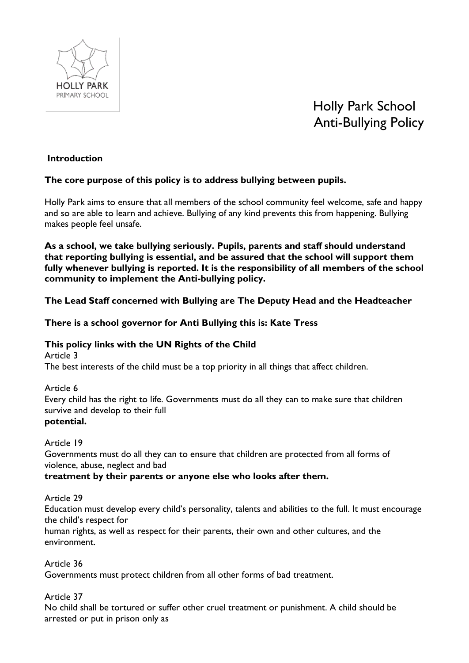

# Holly Park School Anti-Bullying Policy

## **Introduction**

## **The core purpose of this policy is to address bullying between pupils.**

Holly Park aims to ensure that all members of the school community feel welcome, safe and happy and so are able to learn and achieve. Bullying of any kind prevents this from happening. Bullying makes people feel unsafe.

**As a school, we take bullying seriously. Pupils, parents and staff should understand that reporting bullying is essential, and be assured that the school will support them fully whenever bullying is reported. It is the responsibility of all members of the school community to implement the Anti-bullying policy.**

**The Lead Staff concerned with Bullying are The Deputy Head and the Headteacher**

**There is a school governor for Anti Bullying this is: Kate Tress**

# **This policy links with the UN Rights of the Child**

Article 3

The best interests of the child must be a top priority in all things that affect children.

#### Article 6 Every child has the right to life. Governments must do all they can to make sure that children survive and develop to their full **potential.**

## Article 19

Governments must do all they can to ensure that children are protected from all forms of violence, abuse, neglect and bad

**treatment by their parents or anyone else who looks after them.**

Article 29

Education must develop every child's personality, talents and abilities to the full. It must encourage the child's respect for

human rights, as well as respect for their parents, their own and other cultures, and the environment.

Article 36

Governments must protect children from all other forms of bad treatment.

Article 37

No child shall be tortured or suffer other cruel treatment or punishment. A child should be arrested or put in prison only as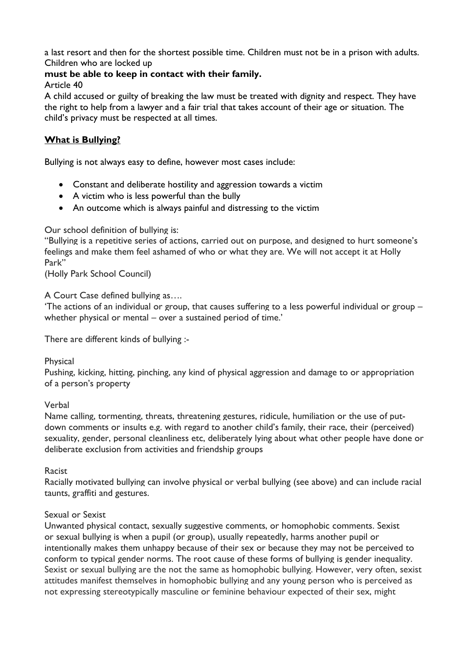a last resort and then for the shortest possible time. Children must not be in a prison with adults. Children who are locked up

## **must be able to keep in contact with their family.**

#### Article 40

A child accused or guilty of breaking the law must be treated with dignity and respect. They have the right to help from a lawyer and a fair trial that takes account of their age or situation. The child's privacy must be respected at all times.

## **What is Bullying?**

Bullying is not always easy to define, however most cases include:

- Constant and deliberate hostility and aggression towards a victim
- A victim who is less powerful than the bully
- An outcome which is always painful and distressing to the victim

## Our school definition of bullying is:

"Bullying is a repetitive series of actions, carried out on purpose, and designed to hurt someone's feelings and make them feel ashamed of who or what they are. We will not accept it at Holly Park"

(Holly Park School Council)

## A Court Case defined bullying as….

'The actions of an individual or group, that causes suffering to a less powerful individual or group – whether physical or mental – over a sustained period of time.'

There are different kinds of bullying :-

## Physical

Pushing, kicking, hitting, pinching, any kind of physical aggression and damage to or appropriation of a person's property

## Verbal

Name calling, tormenting, threats, threatening gestures, ridicule, humiliation or the use of putdown comments or insults e.g. with regard to another child's family, their race, their (perceived) sexuality, gender, personal cleanliness etc, deliberately lying about what other people have done or deliberate exclusion from activities and friendship groups

#### Racist

Racially motivated bullying can involve physical or verbal bullying (see above) and can include racial taunts, graffiti and gestures.

## Sexual or Sexist

Unwanted physical contact, sexually suggestive comments, or homophobic comments. Sexist or sexual bullying is when a pupil (or group), usually repeatedly, harms another pupil or intentionally makes them unhappy because of their sex or because they may not be perceived to conform to typical gender norms. The root cause of these forms of bullying is gender inequality. Sexist or sexual bullying are the not the same as homophobic bullying. However, very often, sexist attitudes manifest themselves in homophobic bullying and any young person who is perceived as not expressing stereotypically masculine or feminine behaviour expected of their sex, might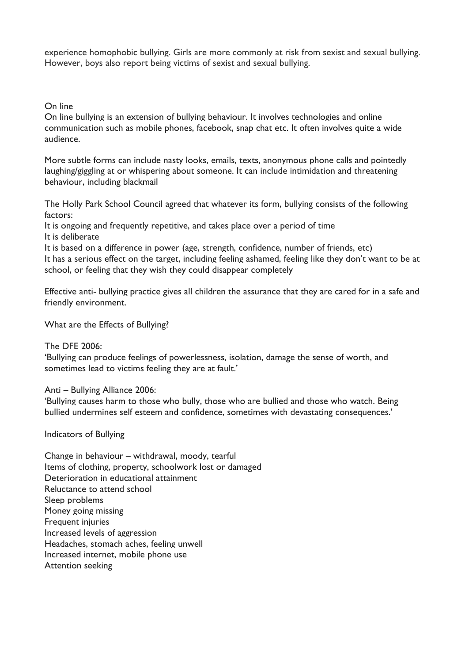experience homophobic bullying. Girls are more commonly at risk from sexist and sexual bullying. However, boys also report being victims of sexist and sexual bullying.

On line

On line bullying is an extension of bullying behaviour. It involves technologies and online communication such as mobile phones, facebook, snap chat etc. It often involves quite a wide audience.

More subtle forms can include nasty looks, emails, texts, anonymous phone calls and pointedly laughing/giggling at or whispering about someone. It can include intimidation and threatening behaviour, including blackmail

The Holly Park School Council agreed that whatever its form, bullying consists of the following factors:

It is ongoing and frequently repetitive, and takes place over a period of time It is deliberate

It is based on a difference in power (age, strength, confidence, number of friends, etc) It has a serious effect on the target, including feeling ashamed, feeling like they don't want to be at school, or feeling that they wish they could disappear completely

Effective anti- bullying practice gives all children the assurance that they are cared for in a safe and friendly environment.

What are the Effects of Bullying?

The DFE 2006:

'Bullying can produce feelings of powerlessness, isolation, damage the sense of worth, and sometimes lead to victims feeling they are at fault.'

Anti – Bullying Alliance 2006:

'Bullying causes harm to those who bully, those who are bullied and those who watch. Being bullied undermines self esteem and confidence, sometimes with devastating consequences.'

Indicators of Bullying

Change in behaviour – withdrawal, moody, tearful Items of clothing, property, schoolwork lost or damaged Deterioration in educational attainment Reluctance to attend school Sleep problems Money going missing Frequent injuries Increased levels of aggression Headaches, stomach aches, feeling unwell Increased internet, mobile phone use Attention seeking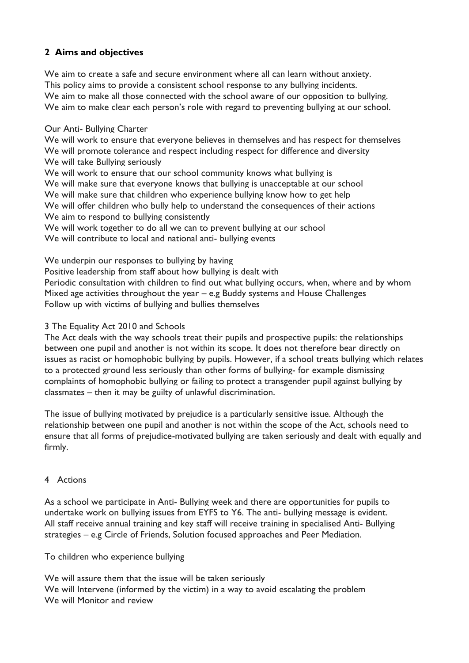# **2 Aims and objectives**

We aim to create a safe and secure environment where all can learn without anxiety. This policy aims to provide a consistent school response to any bullying incidents. We aim to make all those connected with the school aware of our opposition to bullying. We aim to make clear each person's role with regard to preventing bullying at our school.

#### Our Anti- Bullying Charter

We will work to ensure that everyone believes in themselves and has respect for themselves We will promote tolerance and respect including respect for difference and diversity We will take Bullying seriously

We will work to ensure that our school community knows what bullying is We will make sure that everyone knows that bullying is unacceptable at our school We will make sure that children who experience bullying know how to get help We will offer children who bully help to understand the consequences of their actions We aim to respond to bullying consistently

We will work together to do all we can to prevent bullying at our school We will contribute to local and national anti- bullying events

We underpin our responses to bullying by having

Positive leadership from staff about how bullying is dealt with

Periodic consultation with children to find out what bullying occurs, when, where and by whom Mixed age activities throughout the year – e.g Buddy systems and House Challenges Follow up with victims of bullying and bullies themselves

#### 3 The Equality Act 2010 and Schools

The Act deals with the way schools treat their pupils and prospective pupils: the relationships between one pupil and another is not within its scope. It does not therefore bear directly on issues as racist or homophobic bullying by pupils. However, if a school treats bullying which relates to a protected ground less seriously than other forms of bullying- for example dismissing complaints of homophobic bullying or failing to protect a transgender pupil against bullying by classmates – then it may be guilty of unlawful discrimination.

The issue of bullying motivated by prejudice is a particularly sensitive issue. Although the relationship between one pupil and another is not within the scope of the Act, schools need to ensure that all forms of prejudice-motivated bullying are taken seriously and dealt with equally and firmly.

## 4 Actions

As a school we participate in Anti- Bullying week and there are opportunities for pupils to undertake work on bullying issues from EYFS to Y6. The anti- bullying message is evident. All staff receive annual training and key staff will receive training in specialised Anti- Bullying strategies – e.g Circle of Friends, Solution focused approaches and Peer Mediation.

To children who experience bullying

We will assure them that the issue will be taken seriously We will Intervene (informed by the victim) in a way to avoid escalating the problem We will Monitor and review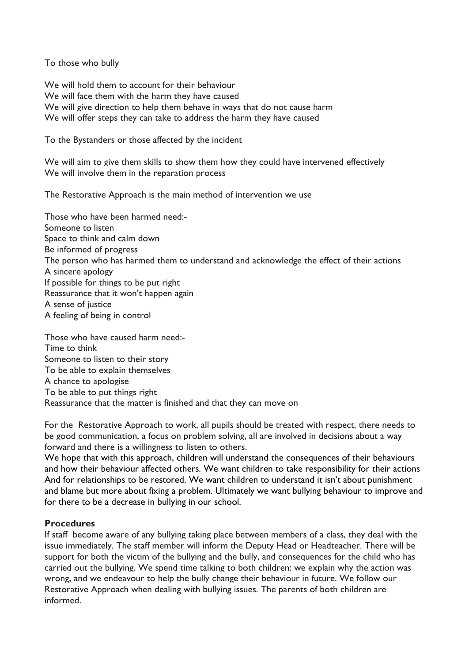To those who bully

We will hold them to account for their behaviour We will face them with the harm they have caused We will give direction to help them behave in ways that do not cause harm We will offer steps they can take to address the harm they have caused

To the Bystanders or those affected by the incident

We will aim to give them skills to show them how they could have intervened effectively We will involve them in the reparation process

The Restorative Approach is the main method of intervention we use

Those who have been harmed need:- Someone to listen Space to think and calm down Be informed of progress The person who has harmed them to understand and acknowledge the effect of their actions A sincere apology If possible for things to be put right Reassurance that it won't happen again A sense of justice A feeling of being in control

Those who have caused harm need:- Time to think Someone to listen to their story To be able to explain themselves A chance to apologise To be able to put things right Reassurance that the matter is finished and that they can move on

For the Restorative Approach to work, all pupils should be treated with respect, there needs to be good communication, a focus on problem solving, all are involved in decisions about a way forward and there is a willingness to listen to others.

We hope that with this approach, children will understand the consequences of their behaviours and how their behaviour affected others. We want children to take responsibility for their actions And for relationships to be restored. We want children to understand it isn't about punishment and blame but more about fixing a problem. Ultimately we want bullying behaviour to improve and for there to be a decrease in bullying in our school.

## **Procedures**

If staff become aware of any bullying taking place between members of a class, they deal with the issue immediately. The staff member will inform the Deputy Head or Headteacher. There will be support for both the victim of the bullying and the bully, and consequences for the child who has carried out the bullying. We spend time talking to both children: we explain why the action was wrong, and we endeavour to help the bully change their behaviour in future. We follow our Restorative Approach when dealing with bullying issues. The parents of both children are informed.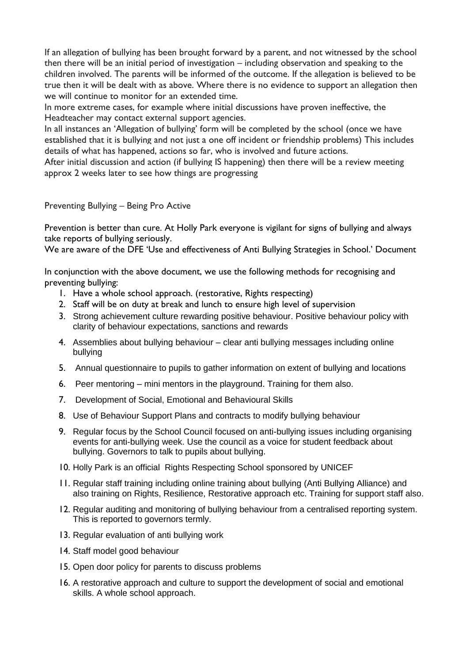If an allegation of bullying has been brought forward by a parent, and not witnessed by the school then there will be an initial period of investigation – including observation and speaking to the children involved. The parents will be informed of the outcome. If the allegation is believed to be true then it will be dealt with as above. Where there is no evidence to support an allegation then we will continue to monitor for an extended time.

In more extreme cases, for example where initial discussions have proven ineffective, the Headteacher may contact external support agencies.

In all instances an 'Allegation of bullying' form will be completed by the school (once we have established that it is bullying and not just a one off incident or friendship problems) This includes details of what has happened, actions so far, who is involved and future actions.

After initial discussion and action (if bullying IS happening) then there will be a review meeting approx 2 weeks later to see how things are progressing

#### Preventing Bullying – Being Pro Active

Prevention is better than cure. At Holly Park everyone is vigilant for signs of bullying and always take reports of bullying seriously.

We are aware of the DFE 'Use and effectiveness of Anti Bullying Strategies in School.' Document

In conjunction with the above document, we use the following methods for recognising and preventing bullying:

- 1. Have a whole school approach. (restorative, Rights respecting)
- 2. Staff will be on duty at break and lunch to ensure high level of supervision
- 3. Strong achievement culture rewarding positive behaviour. Positive behaviour policy with clarity of behaviour expectations, sanctions and rewards
- 4. Assemblies about bullying behaviour clear anti bullying messages including online bullying
- 5. Annual questionnaire to pupils to gather information on extent of bullying and locations
- 6. Peer mentoring mini mentors in the playground. Training for them also.
- 7. Development of Social, Emotional and Behavioural Skills
- 8. Use of Behaviour Support Plans and contracts to modify bullying behaviour
- 9. Regular focus by the School Council focused on anti-bullying issues including organising events for anti-bullying week. Use the council as a voice for student feedback about bullying. Governors to talk to pupils about bullying.
- 10. Holly Park is an official Rights Respecting School sponsored by UNICEF
- 11. Regular staff training including online training about bullying (Anti Bullying Alliance) and also training on Rights, Resilience, Restorative approach etc. Training for support staff also.
- 12. Regular auditing and monitoring of bullying behaviour from a centralised reporting system. This is reported to governors termly.
- 13. Regular evaluation of anti bullying work
- 14. Staff model good behaviour
- 15. Open door policy for parents to discuss problems
- 16. A restorative approach and culture to support the development of social and emotional skills. A whole school approach.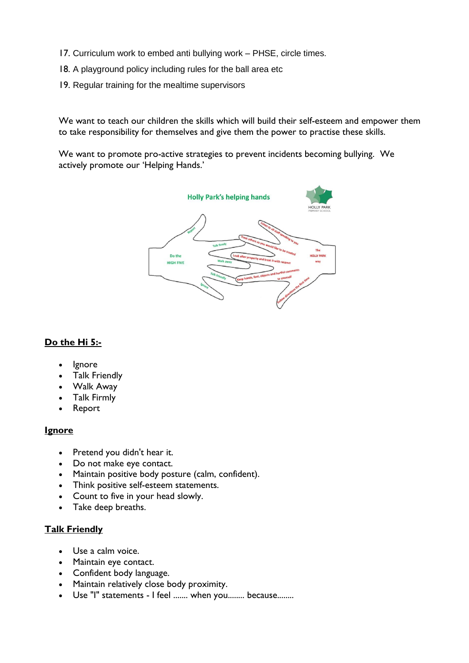- 17. Curriculum work to embed anti bullying work PHSE, circle times.
- 18. A playground policy including rules for the ball area etc
- 19. Regular training for the mealtime supervisors

We want to teach our children the skills which will build their self-esteem and empower them to take responsibility for themselves and give them the power to practise these skills.

We want to promote pro-active strategies to prevent incidents becoming bullying. We actively promote our 'Helping Hands.'



## **Do the Hi 5:-**

- Ignore
- Talk Friendly
- Walk Away
- Talk Firmly
- Report

## **Ignore**

- Pretend you didn't hear it.
- Do not make eye contact.
- Maintain positive body posture (calm, confident).
- Think positive self-esteem statements.
- Count to five in your head slowly.
- Take deep breaths.

## **Talk Friendly**

- Use a calm voice.
- Maintain eye contact.
- Confident body language.
- Maintain relatively close body proximity.
- Use "I" statements I feel ....... when you........ because........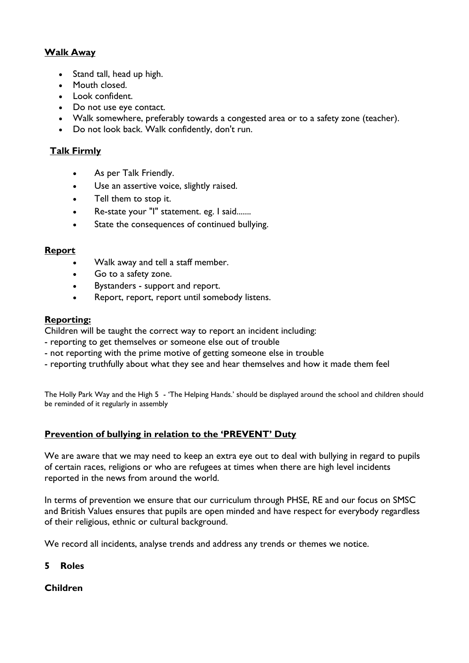## **Walk Away**

- Stand tall, head up high.
- Mouth closed.
- Look confident.
- Do not use eye contact.
- Walk somewhere, preferably towards a congested area or to a safety zone (teacher).
- Do not look back. Walk confidently, don't run.

## **Talk Firmly**

- As per Talk Friendly.
- Use an assertive voice, slightly raised.
- Tell them to stop it.
- Re-state your "I" statement. eg. I said.......
- State the consequences of continued bullying.

#### **Report**

- Walk away and tell a staff member.
- Go to a safety zone.
- Bystanders support and report.
- Report, report, report until somebody listens.

#### **Reporting:**

Children will be taught the correct way to report an incident including:

- reporting to get themselves or someone else out of trouble
- not reporting with the prime motive of getting someone else in trouble
- reporting truthfully about what they see and hear themselves and how it made them feel

The Holly Park Way and the High 5 - 'The Helping Hands.' should be displayed around the school and children should be reminded of it regularly in assembly

## **Prevention of bullying in relation to the 'PREVENT' Duty**

We are aware that we may need to keep an extra eye out to deal with bullying in regard to pupils of certain races, religions or who are refugees at times when there are high level incidents reported in the news from around the world.

In terms of prevention we ensure that our curriculum through PHSE, RE and our focus on SMSC and British Values ensures that pupils are open minded and have respect for everybody regardless of their religious, ethnic or cultural background.

We record all incidents, analyse trends and address any trends or themes we notice.

#### **5 Roles**

## **Children**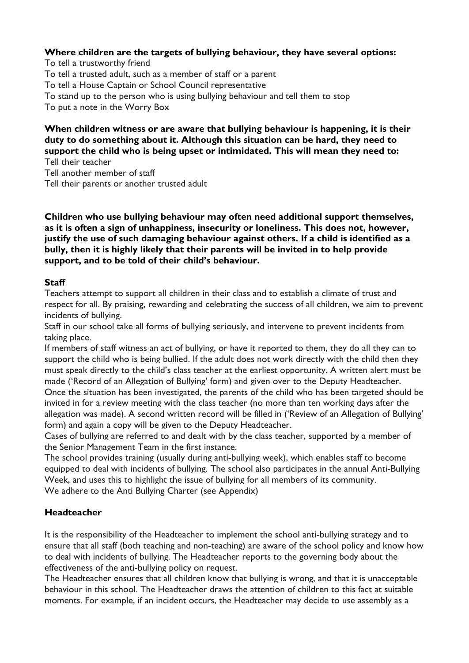## **Where children are the targets of bullying behaviour, they have several options:**

To tell a trustworthy friend To tell a trusted adult, such as a member of staff or a parent To tell a House Captain or School Council representative To stand up to the person who is using bullying behaviour and tell them to stop To put a note in the Worry Box

#### **When children witness or are aware that bullying behaviour is happening, it is their duty to do something about it. Although this situation can be hard, they need to support the child who is being upset or intimidated. This will mean they need to:** Tell their teacher

Tell another member of staff Tell their parents or another trusted adult

## **Children who use bullying behaviour may often need additional support themselves, as it is often a sign of unhappiness, insecurity or loneliness. This does not, however, justify the use of such damaging behaviour against others. If a child is identified as a bully, then it is highly likely that their parents will be invited in to help provide support, and to be told of their child's behaviour.**

## **Staff**

Teachers attempt to support all children in their class and to establish a climate of trust and respect for all. By praising, rewarding and celebrating the success of all children, we aim to prevent incidents of bullying.

Staff in our school take all forms of bullying seriously, and intervene to prevent incidents from taking place.

If members of staff witness an act of bullying, or have it reported to them, they do all they can to support the child who is being bullied. If the adult does not work directly with the child then they must speak directly to the child's class teacher at the earliest opportunity. A written alert must be made ('Record of an Allegation of Bullying' form) and given over to the Deputy Headteacher.

Once the situation has been investigated, the parents of the child who has been targeted should be invited in for a review meeting with the class teacher (no more than ten working days after the allegation was made). A second written record will be filled in ('Review of an Allegation of Bullying' form) and again a copy will be given to the Deputy Headteacher.

Cases of bullying are referred to and dealt with by the class teacher, supported by a member of the Senior Management Team in the first instance.

The school provides training (usually during anti-bullying week), which enables staff to become equipped to deal with incidents of bullying. The school also participates in the annual Anti-Bullying Week, and uses this to highlight the issue of bullying for all members of its community. We adhere to the Anti Bullying Charter (see Appendix)

## **Headteacher**

It is the responsibility of the Headteacher to implement the school anti-bullying strategy and to ensure that all staff (both teaching and non-teaching) are aware of the school policy and know how to deal with incidents of bullying. The Headteacher reports to the governing body about the effectiveness of the anti-bullying policy on request.

The Headteacher ensures that all children know that bullying is wrong, and that it is unacceptable behaviour in this school. The Headteacher draws the attention of children to this fact at suitable moments. For example, if an incident occurs, the Headteacher may decide to use assembly as a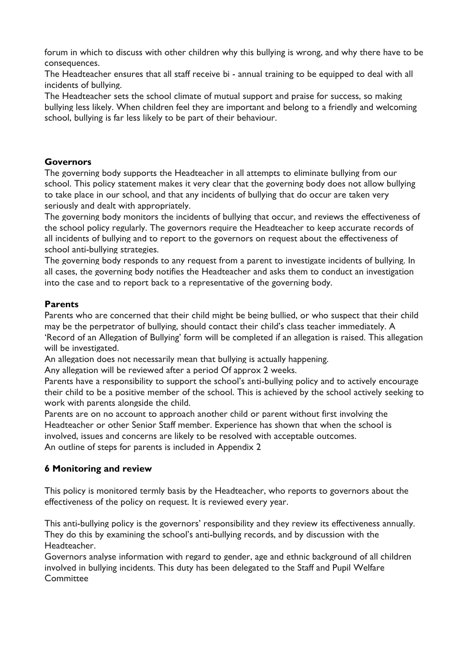forum in which to discuss with other children why this bullying is wrong, and why there have to be consequences.

The Headteacher ensures that all staff receive bi - annual training to be equipped to deal with all incidents of bullying.

The Headteacher sets the school climate of mutual support and praise for success, so making bullying less likely. When children feel they are important and belong to a friendly and welcoming school, bullying is far less likely to be part of their behaviour.

## **Governors**

The governing body supports the Headteacher in all attempts to eliminate bullying from our school. This policy statement makes it very clear that the governing body does not allow bullying to take place in our school, and that any incidents of bullying that do occur are taken very seriously and dealt with appropriately.

The governing body monitors the incidents of bullying that occur, and reviews the effectiveness of the school policy regularly. The governors require the Headteacher to keep accurate records of all incidents of bullying and to report to the governors on request about the effectiveness of school anti-bullying strategies.

The governing body responds to any request from a parent to investigate incidents of bullying. In all cases, the governing body notifies the Headteacher and asks them to conduct an investigation into the case and to report back to a representative of the governing body.

## **Parents**

Parents who are concerned that their child might be being bullied, or who suspect that their child may be the perpetrator of bullying, should contact their child's class teacher immediately. A 'Record of an Allegation of Bullying' form will be completed if an allegation is raised. This allegation will be investigated.

An allegation does not necessarily mean that bullying is actually happening.

Any allegation will be reviewed after a period Of approx 2 weeks.

Parents have a responsibility to support the school's anti-bullying policy and to actively encourage their child to be a positive member of the school. This is achieved by the school actively seeking to work with parents alongside the child.

Parents are on no account to approach another child or parent without first involving the Headteacher or other Senior Staff member. Experience has shown that when the school is involved, issues and concerns are likely to be resolved with acceptable outcomes. An outline of steps for parents is included in Appendix 2

# **6 Monitoring and review**

This policy is monitored termly basis by the Headteacher, who reports to governors about the effectiveness of the policy on request. It is reviewed every year.

This anti-bullying policy is the governors' responsibility and they review its effectiveness annually. They do this by examining the school's anti-bullying records, and by discussion with the Headteacher.

Governors analyse information with regard to gender, age and ethnic background of all children involved in bullying incidents. This duty has been delegated to the Staff and Pupil Welfare **Committee**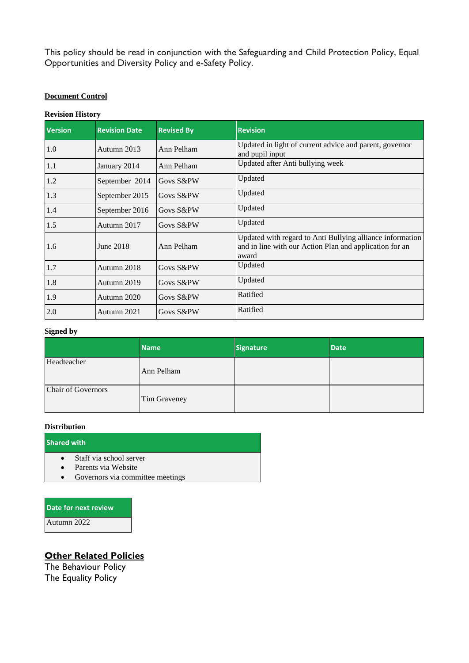This policy should be read in conjunction with the Safeguarding and Child Protection Policy, Equal Opportunities and Diversity Policy and e-Safety Policy.

#### **Document Control**

#### **Revision History**

| <b>Version</b> | <b>Revision Date</b> | <b>Revised By</b> | <b>Revision</b>                                                                                                               |
|----------------|----------------------|-------------------|-------------------------------------------------------------------------------------------------------------------------------|
| 1.0            | Autumn 2013          | Ann Pelham        | Updated in light of current advice and parent, governor<br>and pupil input                                                    |
| 1.1            | January 2014         | Ann Pelham        | Updated after Anti bullying week                                                                                              |
| 1.2            | September 2014       | Govs S&PW         | Updated                                                                                                                       |
| 1.3            | September 2015       | Govs S&PW         | Updated                                                                                                                       |
| 1.4            | September 2016       | Govs S&PW         | Updated                                                                                                                       |
| 1.5            | Autumn 2017          | Govs S&PW         | Updated                                                                                                                       |
| 1.6            | June 2018            | Ann Pelham        | Updated with regard to Anti Bullying alliance information<br>and in line with our Action Plan and application for an<br>award |
| 1.7            | Autumn 2018          | Govs S&PW         | Updated                                                                                                                       |
| 1.8            | Autumn 2019          | Govs S&PW         | Updated                                                                                                                       |
| 1.9            | Autumn 2020          | Govs S&PW         | Ratified                                                                                                                      |
| 2.0            | Autumn 2021          | Govs S&PW         | Ratified                                                                                                                      |

#### **Signed by**

|                    | <b>Name</b>  | <b>Signature</b> | <b>Date</b> |
|--------------------|--------------|------------------|-------------|
| Headteacher        | Ann Pelham   |                  |             |
| Chair of Governors | Tim Graveney |                  |             |

#### **Distribution**

#### **Shared with**

- Staff via school server
- Parents via Website
- Governors via committee meetings

**Date for next review** Autumn 2022

# **Other Related Policies**

The Behaviour Policy The Equality Policy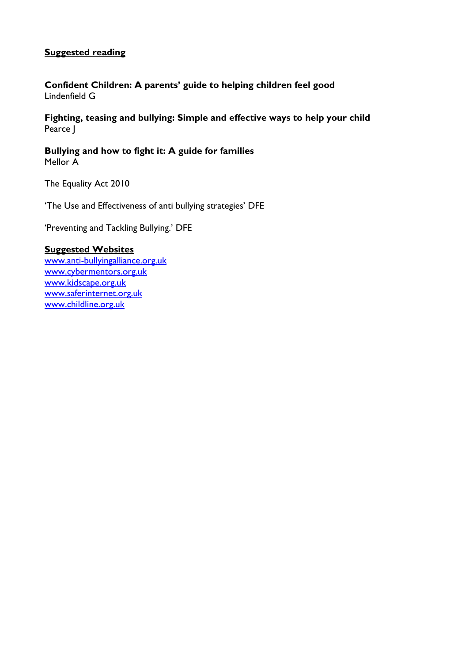## **Suggested reading**

**Confident Children: A parents' guide to helping children feel good** Lindenfield G

**Fighting, teasing and bullying: Simple and effective ways to help your child** Pearce J

**Bullying and how to fight it: A guide for families** Mellor A

The Equality Act 2010

'The Use and Effectiveness of anti bullying strategies' DFE

'Preventing and Tackling Bullying.' DFE

#### **Suggested Websites**

[www.anti-bullyingalliance.org.uk](http://www.anti-bullyingalliance.org.uk/) [www.cybermentors.org.uk](http://www.cybermentors.org.uk/) [www.kidscape.org.uk](http://www.kidscape.org.uk/) [www.saferinternet.org.uk](http://www.saferinternet.org.uk/) [www.childline.org.uk](http://www.childline.org.uk/)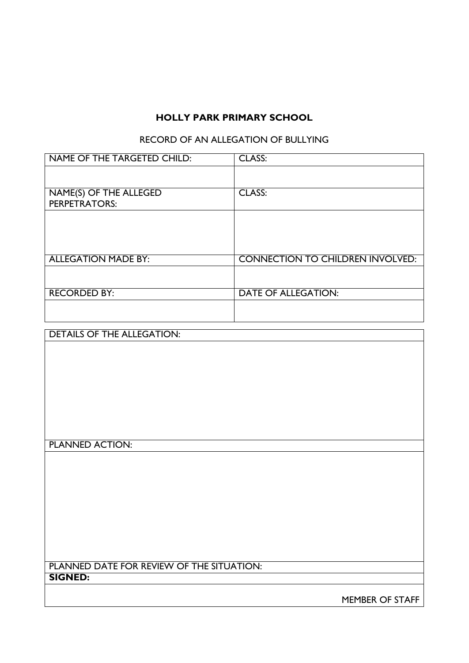# **HOLLY PARK PRIMARY SCHOOL**

# RECORD OF AN ALLEGATION OF BULLYING

| NAME OF THE TARGETED CHILD:                    | <b>CLASS:</b>                           |
|------------------------------------------------|-----------------------------------------|
|                                                |                                         |
| NAME(S) OF THE ALLEGED<br><b>PERPETRATORS:</b> | <b>CLASS:</b>                           |
|                                                |                                         |
|                                                |                                         |
| <b>ALLEGATION MADE BY:</b>                     | <b>CONNECTION TO CHILDREN INVOLVED:</b> |
|                                                |                                         |
| <b>RECORDED BY:</b>                            | <b>DATE OF ALLEGATION:</b>              |
|                                                |                                         |

| <b>DETAILS OF THE ALLEGATION:</b>         |                 |
|-------------------------------------------|-----------------|
|                                           |                 |
|                                           |                 |
|                                           |                 |
|                                           |                 |
|                                           |                 |
|                                           |                 |
|                                           |                 |
|                                           |                 |
|                                           |                 |
| <b>PLANNED ACTION:</b>                    |                 |
|                                           |                 |
|                                           |                 |
|                                           |                 |
|                                           |                 |
|                                           |                 |
|                                           |                 |
|                                           |                 |
|                                           |                 |
|                                           |                 |
|                                           |                 |
| PLANNED DATE FOR REVIEW OF THE SITUATION: |                 |
| <b>SIGNED:</b>                            |                 |
|                                           |                 |
|                                           | MEMBER OF STAFF |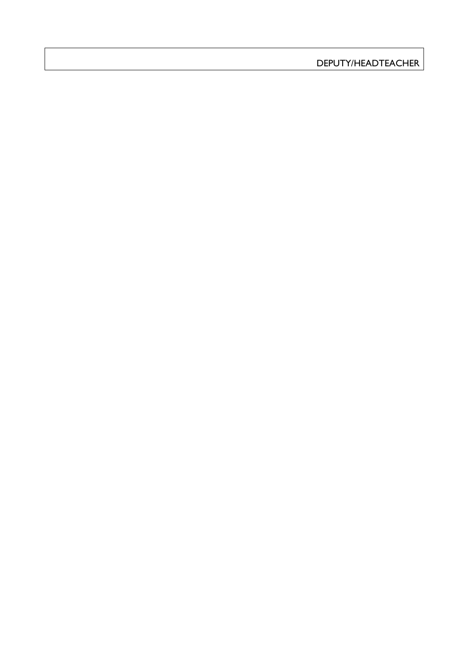DEPUTY/HEADTEACHER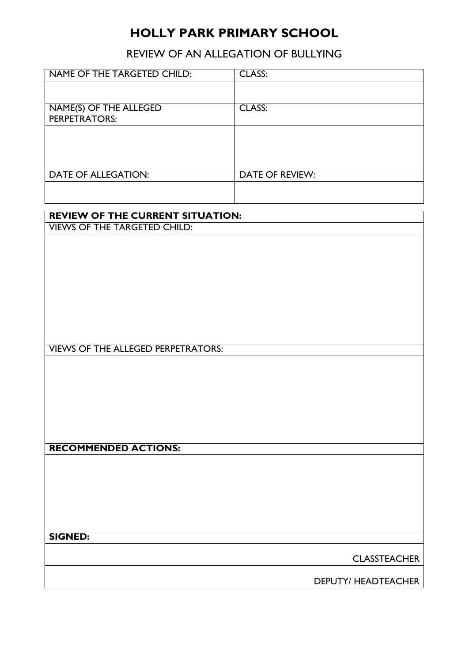# **HOLLY PARK PRIMARY SCHOOL**

REVIEW OF AN ALLEGATION OF BULLYING

| NAME OF THE TARGETED CHILD:               | <b>CLASS:</b>          |  |  |  |
|-------------------------------------------|------------------------|--|--|--|
|                                           |                        |  |  |  |
|                                           |                        |  |  |  |
|                                           |                        |  |  |  |
| <b>NAME(S) OF THE ALLEGED</b>             | CLASS:                 |  |  |  |
| <b>PERPETRATORS:</b>                      |                        |  |  |  |
|                                           |                        |  |  |  |
|                                           |                        |  |  |  |
|                                           |                        |  |  |  |
|                                           |                        |  |  |  |
|                                           |                        |  |  |  |
|                                           |                        |  |  |  |
| <b>DATE OF ALLEGATION:</b>                | <b>DATE OF REVIEW:</b> |  |  |  |
|                                           |                        |  |  |  |
|                                           |                        |  |  |  |
|                                           |                        |  |  |  |
|                                           |                        |  |  |  |
| <b>REVIEW OF THE CURRENT SITUATION:</b>   |                        |  |  |  |
| <b>VIEWS OF THE TARGETED CHILD:</b>       |                        |  |  |  |
|                                           |                        |  |  |  |
|                                           |                        |  |  |  |
|                                           |                        |  |  |  |
|                                           |                        |  |  |  |
|                                           |                        |  |  |  |
|                                           |                        |  |  |  |
|                                           |                        |  |  |  |
|                                           |                        |  |  |  |
|                                           |                        |  |  |  |
|                                           |                        |  |  |  |
|                                           |                        |  |  |  |
|                                           |                        |  |  |  |
|                                           |                        |  |  |  |
|                                           |                        |  |  |  |
| <b>VIEWS OF THE ALLEGED PERPETRATORS:</b> |                        |  |  |  |
|                                           |                        |  |  |  |
|                                           |                        |  |  |  |
|                                           |                        |  |  |  |
|                                           |                        |  |  |  |
|                                           |                        |  |  |  |
|                                           |                        |  |  |  |
|                                           |                        |  |  |  |
|                                           |                        |  |  |  |
|                                           |                        |  |  |  |
|                                           |                        |  |  |  |
|                                           |                        |  |  |  |
| <b>RECOMMENDED ACTIONS:</b>               |                        |  |  |  |
|                                           |                        |  |  |  |
|                                           |                        |  |  |  |
|                                           |                        |  |  |  |
|                                           |                        |  |  |  |
|                                           |                        |  |  |  |
|                                           |                        |  |  |  |
|                                           |                        |  |  |  |
|                                           |                        |  |  |  |
|                                           |                        |  |  |  |
|                                           |                        |  |  |  |
| <b>SIGNED:</b>                            |                        |  |  |  |
|                                           |                        |  |  |  |
|                                           | <b>CLASSTEACHER</b>    |  |  |  |
|                                           |                        |  |  |  |
|                                           |                        |  |  |  |
|                                           | DEPUTY/ HEADTEACHER    |  |  |  |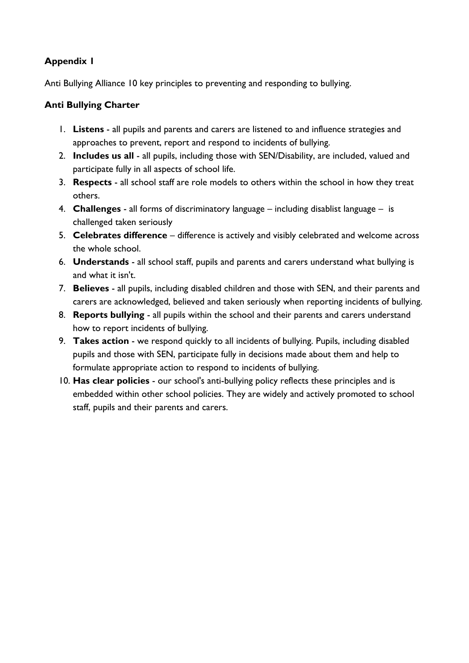# **Appendix 1**

Anti Bullying Alliance 10 key principles to preventing and responding to bullying.

# **Anti Bullying Charter**

- 1. **Listens**  all pupils and parents and carers are listened to and influence strategies and approaches to prevent, report and respond to incidents of bullying.
- 2. **Includes us all** all pupils, including those with SEN/Disability, are included, valued and participate fully in all aspects of school life.
- 3. **Respects** all school staff are role models to others within the school in how they treat others.
- 4. **Challenges**  all forms of discriminatory language including disablist language is challenged taken seriously
- 5. **Celebrates difference** difference is actively and visibly celebrated and welcome across the whole school.
- 6. **Understands**  all school staff, pupils and parents and carers understand what bullying is and what it isn't.
- 7. **Believes** all pupils, including disabled children and those with SEN, and their parents and carers are acknowledged, believed and taken seriously when reporting incidents of bullying.
- 8. **Reports bullying** all pupils within the school and their parents and carers understand how to report incidents of bullying.
- 9. **Takes action** we respond quickly to all incidents of bullying. Pupils, including disabled pupils and those with SEN, participate fully in decisions made about them and help to formulate appropriate action to respond to incidents of bullying.
- 10. **Has clear policies** our school's anti-bullying policy reflects these principles and is embedded within other school policies. They are widely and actively promoted to school staff, pupils and their parents and carers.